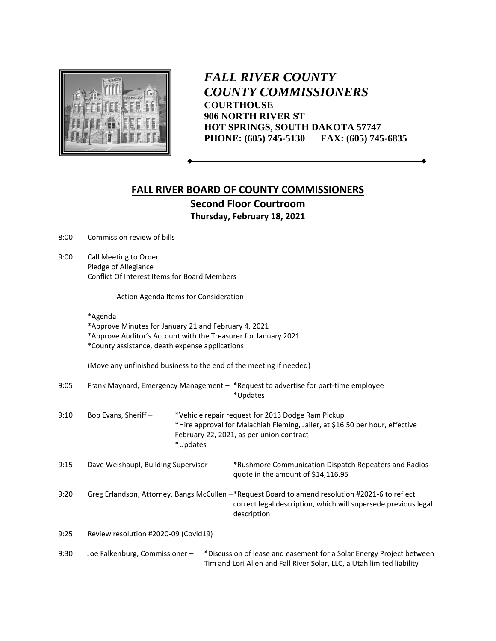

*FALL RIVER COUNTY COUNTY COMMISSIONERS* **COURTHOUSE 906 NORTH RIVER ST HOT SPRINGS, SOUTH DAKOTA 57747 PHONE: (605) 745-5130 FAX: (605) 745-6835**

## **FALL RIVER BOARD OF COUNTY COMMISSIONERS Second Floor Courtroom Thursday, February 18, 2021**

8:00 Commission review of bills

9:00 Call Meeting to Order Pledge of Allegiance Conflict Of Interest Items for Board Members

Action Agenda Items for Consideration:

|      | *Approve Minutes for January 21 and February 4, 2021<br>*Approve Auditor's Account with the Treasurer for January 2021<br>*County assistance, death expense applications |                                                                                                                                                                                           |                                                                                                                                                                                  |  |  |  |
|------|--------------------------------------------------------------------------------------------------------------------------------------------------------------------------|-------------------------------------------------------------------------------------------------------------------------------------------------------------------------------------------|----------------------------------------------------------------------------------------------------------------------------------------------------------------------------------|--|--|--|
|      | (Move any unfinished business to the end of the meeting if needed)                                                                                                       |                                                                                                                                                                                           |                                                                                                                                                                                  |  |  |  |
| 9:05 | Frank Maynard, Emergency Management - *Request to advertise for part-time employee<br>*Updates                                                                           |                                                                                                                                                                                           |                                                                                                                                                                                  |  |  |  |
| 9:10 | Bob Evans, Sheriff-                                                                                                                                                      | *Vehicle repair request for 2013 Dodge Ram Pickup<br>*Hire approval for Malachiah Fleming, Jailer, at \$16.50 per hour, effective<br>February 22, 2021, as per union contract<br>*Updates |                                                                                                                                                                                  |  |  |  |
| 9:15 | Dave Weishaupl, Building Supervisor -                                                                                                                                    |                                                                                                                                                                                           | *Rushmore Communication Dispatch Repeaters and Radios<br>quote in the amount of \$14,116.95                                                                                      |  |  |  |
| 9:20 |                                                                                                                                                                          |                                                                                                                                                                                           | Greg Erlandson, Attorney, Bangs McCullen -*Request Board to amend resolution #2021-6 to reflect<br>correct legal description, which will supersede previous legal<br>description |  |  |  |
| 9:25 | Review resolution #2020-09 (Covid19)                                                                                                                                     |                                                                                                                                                                                           |                                                                                                                                                                                  |  |  |  |
| 9:30 | Joe Falkenburg, Commissioner-                                                                                                                                            |                                                                                                                                                                                           | *Discussion of lease and easement for a Solar Energy Project between<br>Tim and Lori Allen and Fall River Solar, LLC, a Utah limited liability                                   |  |  |  |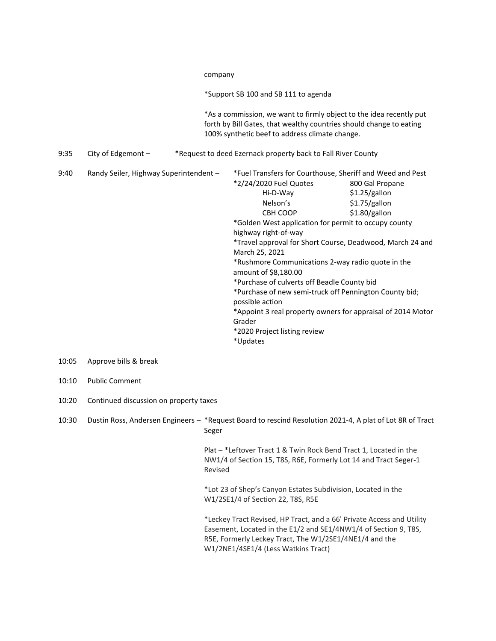|       |                                        |  | company<br>*Support SB 100 and SB 111 to agenda<br>*As a commission, we want to firmly object to the idea recently put<br>forth by Bill Gates, that wealthy countries should change to eating<br>100% synthetic beef to address climate change.<br>*Request to deed Ezernack property back to Fall River County                                                                                                                                                                                                                                                                                                                                                                            |  |  |  |  |
|-------|----------------------------------------|--|--------------------------------------------------------------------------------------------------------------------------------------------------------------------------------------------------------------------------------------------------------------------------------------------------------------------------------------------------------------------------------------------------------------------------------------------------------------------------------------------------------------------------------------------------------------------------------------------------------------------------------------------------------------------------------------------|--|--|--|--|
|       |                                        |  |                                                                                                                                                                                                                                                                                                                                                                                                                                                                                                                                                                                                                                                                                            |  |  |  |  |
|       |                                        |  |                                                                                                                                                                                                                                                                                                                                                                                                                                                                                                                                                                                                                                                                                            |  |  |  |  |
| 9:35  | City of Edgemont $-$                   |  |                                                                                                                                                                                                                                                                                                                                                                                                                                                                                                                                                                                                                                                                                            |  |  |  |  |
| 9:40  | Randy Seiler, Highway Superintendent - |  | *Fuel Transfers for Courthouse, Sheriff and Weed and Pest<br>*2/24/2020 Fuel Quotes<br>800 Gal Propane<br>\$1.25/gallon<br>Hi-D-Way<br>Nelson's<br>\$1.75/gallon<br>\$1.80/gallon<br>CBH COOP<br>*Golden West application for permit to occupy county<br>highway right-of-way<br>*Travel approval for Short Course, Deadwood, March 24 and<br>March 25, 2021<br>*Rushmore Communications 2-way radio quote in the<br>amount of \$8,180.00<br>*Purchase of culverts off Beadle County bid<br>*Purchase of new semi-truck off Pennington County bid;<br>possible action<br>*Appoint 3 real property owners for appraisal of 2014 Motor<br>Grader<br>*2020 Project listing review<br>*Updates |  |  |  |  |
| 10:05 | Approve bills & break                  |  |                                                                                                                                                                                                                                                                                                                                                                                                                                                                                                                                                                                                                                                                                            |  |  |  |  |
| 10:10 | <b>Public Comment</b>                  |  |                                                                                                                                                                                                                                                                                                                                                                                                                                                                                                                                                                                                                                                                                            |  |  |  |  |

10:20 Continued discussion on property taxes

10:30 Dustin Ross, Andersen Engineers – \*Request Board to rescind Resolution 2021-4, A plat of Lot 8R of Tract Seger

> Plat – \*Leftover Tract 1 & Twin Rock Bend Tract 1, Located in the NW1/4 of Section 15, T8S, R6E, Formerly Lot 14 and Tract Seger-1 Revised

\*Lot 23 of Shep's Canyon Estates Subdivision, Located in the W1/2SE1/4 of Section 22, T8S, R5E

\*Leckey Tract Revised, HP Tract, and a 66' Private Access and Utility Easement, Located in the E1/2 and SE1/4NW1/4 of Section 9, T8S, R5E, Formerly Leckey Tract, The W1/2SE1/4NE1/4 and the W1/2NE1/4SE1/4 (Less Watkins Tract)